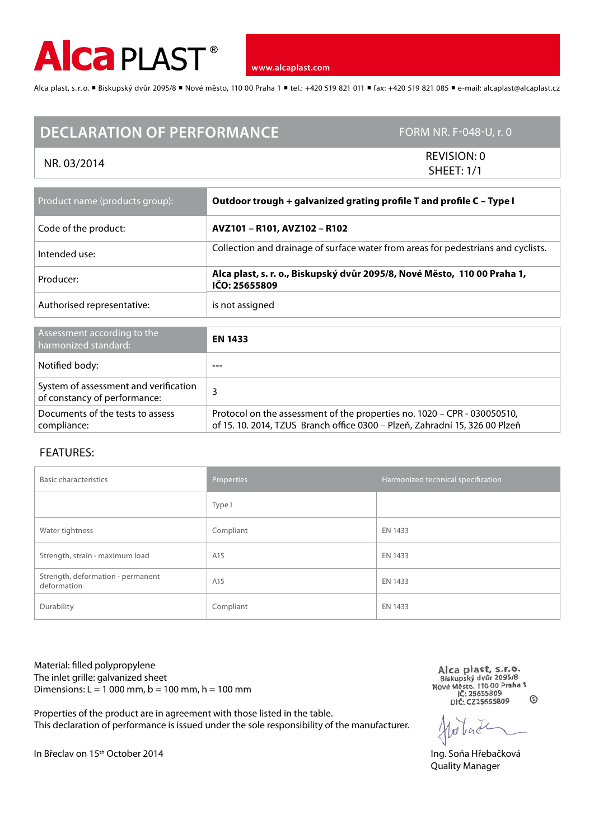

**www.alcaplast.com**

Alca plast, s.r.o. ■ Biskupský dvůr 2095/8 ■ Nové město, 110 00 Praha 1 ■ tel.: +420 519 821 011 ■ fax: +420 519 821 085 ■ e-mail: alcaplast@alcaplast.cz

## **DECLARATION OF PERFORMANCE** FORM NR. F-048-U, r. 0

NR. 03/2014 REVISION: 0 SHEET: 1/1

| Product name (products group):                                        | Outdoor trough + galvanized grating profile T and profile C - Type I                                                                                    |  |
|-----------------------------------------------------------------------|---------------------------------------------------------------------------------------------------------------------------------------------------------|--|
| Code of the product:                                                  | AVZ101 - R101, AVZ102 - R102                                                                                                                            |  |
| Intended use:                                                         | Collection and drainage of surface water from areas for pedestrians and cyclists.                                                                       |  |
| Producer:                                                             | Alca plast, s. r. o., Biskupský dvůr 2095/8, Nové Město, 110 00 Praha 1,<br>IČO: 25655809                                                               |  |
| Authorised representative:                                            | is not assigned                                                                                                                                         |  |
|                                                                       |                                                                                                                                                         |  |
| Assessment according to the<br>harmonized standard:                   | <b>EN 1433</b>                                                                                                                                          |  |
| Notified body:                                                        |                                                                                                                                                         |  |
| System of assessment and verification<br>of constancy of performance: | 3                                                                                                                                                       |  |
| Documents of the tests to assess<br>compliance:                       | Protocol on the assessment of the properties no. 1020 - CPR - 030050510,<br>of 15, 10, 2014, TZUS Branch office 0300 – Plzeň, Zahradní 15, 326 00 Plzeň |  |

## FEATURES:

| <b>Basic characteristics</b>                     | Properties | Harmonized technical specification |
|--------------------------------------------------|------------|------------------------------------|
|                                                  | Type I     |                                    |
| Water tightness                                  | Compliant  | EN 1433                            |
| Strength, strain - maximum load                  | A15        | EN 1433                            |
| Strength, deformation - permanent<br>deformation | A15        | EN 1433                            |
| Durability                                       | Compliant  | EN 1433                            |

Material: filled polypropylene The inlet grille: galvanized sheet Dimensions:  $L = 1000$  mm,  $b = 100$  mm,  $h = 100$  mm

Properties of the product are in agreement with those listed in the table.

This declaration of performance is issued under the sole responsibility of the manufacturer.

Alca plast, s.r.o.<br>Biskupský dvůr 2095/8<br>Nové Město, 110 00 Praha 1 IČ: 25655809  $\mathcal{L}$ 

Quality Manager

In Břeclav on 15<sup>th</sup> October 2014 **Ing.** Soňa Hřebačková